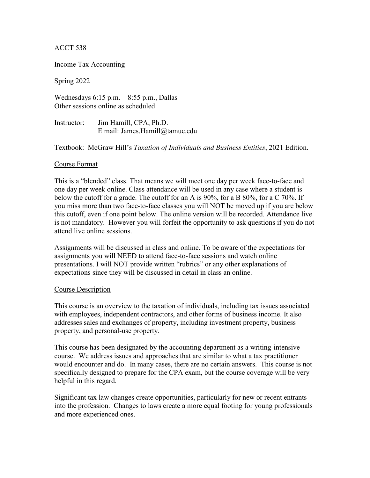# ACCT 538

Income Tax Accounting

Spring 2022

Wednesdays 6:15 p.m. – 8:55 p.m., Dallas Other sessions online as scheduled

Instructor: Jim Hamill, CPA, Ph.D. E mail: James.Hamill@tamuc.edu

Textbook: McGraw Hill's *Taxation of Individuals and Business Entities*, 2021 Edition.

# Course Format

This is a "blended" class. That means we will meet one day per week face-to-face and one day per week online. Class attendance will be used in any case where a student is below the cutoff for a grade. The cutoff for an A is 90%, for a B 80%, for a C 70%. If you miss more than two face-to-face classes you will NOT be moved up if you are below this cutoff, even if one point below. The online version will be recorded. Attendance live is not mandatory. However you will forfeit the opportunity to ask questions if you do not attend live online sessions.

Assignments will be discussed in class and online. To be aware of the expectations for assignments you will NEED to attend face-to-face sessions and watch online presentations. I will NOT provide written "rubrics" or any other explanations of expectations since they will be discussed in detail in class an online.

### Course Description

This course is an overview to the taxation of individuals, including tax issues associated with employees, independent contractors, and other forms of business income. It also addresses sales and exchanges of property, including investment property, business property, and personal-use property.

This course has been designated by the accounting department as a writing-intensive course. We address issues and approaches that are similar to what a tax practitioner would encounter and do. In many cases, there are no certain answers. This course is not specifically designed to prepare for the CPA exam, but the course coverage will be very helpful in this regard.

Significant tax law changes create opportunities, particularly for new or recent entrants into the profession. Changes to laws create a more equal footing for young professionals and more experienced ones.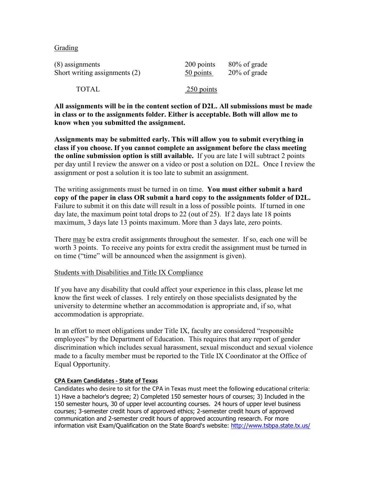## Grading

| $(8)$ assignments               | 200 points   | 80% of grade    |
|---------------------------------|--------------|-----------------|
| Short writing assignments $(2)$ | 50 points    | $20\%$ of grade |
| TOTAL                           | $250$ points |                 |

**All assignments will be in the content section of D2L. All submissions must be made in class or to the assignments folder. Either is acceptable. Both will allow me to know when you submitted the assignment.** 

**Assignments may be submitted early. This will allow you to submit everything in class if you choose. If you cannot complete an assignment before the class meeting the online submission option is still available.** If you are late I will subtract 2 points per day until I review the answer on a video or post a solution on D2L. Once I review the assignment or post a solution it is too late to submit an assignment.

The writing assignments must be turned in on time. **You must either submit a hard copy of the paper in class OR submit a hard copy to the assignments folder of D2L.** Failure to submit it on this date will result in a loss of possible points. If turned in one day late, the maximum point total drops to 22 (out of 25). If 2 days late 18 points maximum, 3 days late 13 points maximum. More than 3 days late, zero points.

There may be extra credit assignments throughout the semester. If so, each one will be worth 3 points. To receive any points for extra credit the assignment must be turned in on time ("time" will be announced when the assignment is given).

### Students with Disabilities and Title IX Compliance

If you have any disability that could affect your experience in this class, please let me know the first week of classes. I rely entirely on those specialists designated by the university to determine whether an accommodation is appropriate and, if so, what accommodation is appropriate.

In an effort to meet obligations under Title IX, faculty are considered "responsible employees" by the Department of Education. This requires that any report of gender discrimination which includes sexual harassment, sexual misconduct and sexual violence made to a faculty member must be reported to the Title IX Coordinator at the Office of Equal Opportunity.

### **CPA Exam Candidates - State of Texas**

Candidates who desire to sit for the CPA in Texas must meet the following educational criteria: 1) Have a bachelor's degree; 2) Completed 150 semester hours of courses; 3) Included in the 150 semester hours, 30 of upper level accounting courses. 24 hours of upper level business courses; 3-semester credit hours of approved ethics; 2-semester credit hours of approved communication and 2-semester credit hours of approved accounting research. For more information visit Exam/Qualification on the State Board's website: [http://www.tsbpa.state.tx.us/](https://outlook.tamuc.edu/owa/redir.aspx?C=aPc9gzp7gJgvHT4DL5dIKuKZhpipbeozyiDaFDNx_dvJ0Qn_KmXWCA..&URL=http%3a%2f%2fwww.tsbpa.state.tx.us%2f)